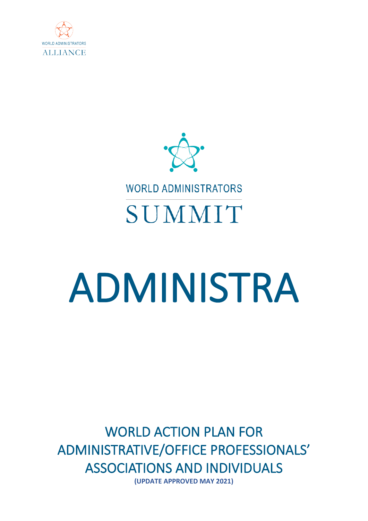



# ADMINISTRA

WORLD ACTION PLAN FOR ADMINISTRATIVE/OFFICE PROFESSIONALS' ASSOCIATIONS AND INDIVIDUALS **(UPDATE APPROVED MAY 2021)**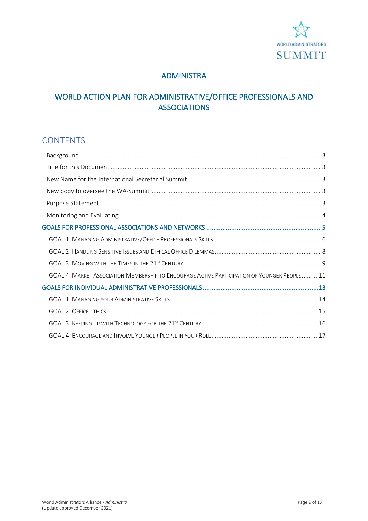

# ADMINISTRA

# WORLD ACTION PLAN FOR ADMINISTRATIVE/OFFICE PROFESSIONALS AND ASSOCIATIONS

# **CONTENTS**

| GOAL 4: MARKET ASSOCIATION MEMBERSHIP TO ENCOURAGE ACTIVE PARTICIPATION OF YOUNGER PEOPLE  11 |  |
|-----------------------------------------------------------------------------------------------|--|
|                                                                                               |  |
|                                                                                               |  |
|                                                                                               |  |
|                                                                                               |  |
|                                                                                               |  |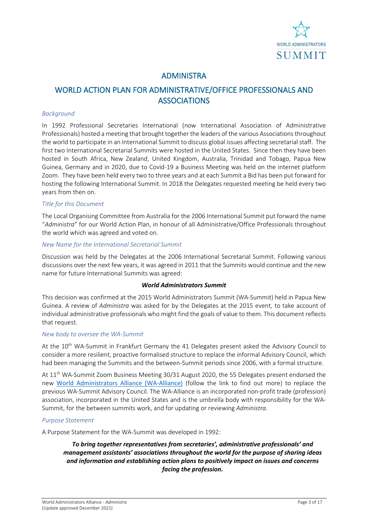

# ADMINISTRA

# WORLD ACTION PLAN FOR ADMINISTRATIVE/OFFICE PROFESSIONALS AND **ASSOCIATIONS**

#### <span id="page-2-0"></span>*Background*

In 1992 Professional Secretaries International (now International Association of Administrative Professionals) hosted a meeting that brought together the leaders of the various Associations throughout the world to participate in an International Summit to discuss global issues affecting secretarial staff. The first two International Secretarial Summits were hosted in the United States. Since then they have been hosted in South Africa, New Zealand, United Kingdom, Australia, Trinidad and Tobago, Papua New Guinea, Germany and in 2020, due to Covid-19 a Business Meeting was held on the internet platform Zoom. They have been held every two to three years and at each Summit a Bid has been put forward for hosting the following International Summit. In 2018 the Delegates requested meeting be held every two years from then on.

#### <span id="page-2-1"></span>*Title for this Document*

The Local Organising Committee from Australia for the 2006 International Summit put forward the name "*Administra*" for our World Action Plan, in honour of all Administrative/Office Professionals throughout the world which was agreed and voted on.

#### <span id="page-2-2"></span>*New Name for the International Secretarial Summit*

Discussion was held by the Delegates at the 2006 International Secretarial Summit. Following various discussions over the next few years, it was agreed in 2011 that the Summits would continue and the new name for future International Summits was agreed:

#### *World Administrators Summit*

This decision was confirmed at the 2015 World Administrators Summit (WA-Summit) held in Papua New Guinea. A review of *Administra* was asked for by the Delegates at the 2015 event, to take account of individual administrative professionals who might find the goals of value to them. This document reflects that request.

#### <span id="page-2-3"></span>*New body to oversee the WA-Summit*

At the 10<sup>th</sup> WA-Summit in Frankfurt Germany the 41 Delegates present asked the Advisory Council to consider a more resilient, proactive formalised structure to replace the informal Advisory Council, which had been managing the Summits and the between-Summit periods since 2006, with a formal structure.

At 11<sup>th</sup> WA-Summit Zoom Business Meeting 30/31 August 2020, the 55 Delegates present endorsed the new [World Administrators Alliance \(WA-Alliance\)](https://wa-summit.com/ambassadors-advisory-council/) (follow the link to find out more) to replace the previous WA-Summit Advisory Council. The WA-Alliance is an incorporated non-profit trade (profession) association, incorporated in the United States and is the umbrella body with responsibility for the WA-Summit, for the between summits work, and for updating or reviewing *Administra*.

#### <span id="page-2-4"></span>*Purpose Statement*

A Purpose Statement for the WA-Summit was developed in 1992:

*To bring together representatives from secretaries', administrative professionals' and management assistants' associations throughout the world for the purpose of sharing ideas and information and establishing action plans to positively impact on issues and concerns facing the profession.*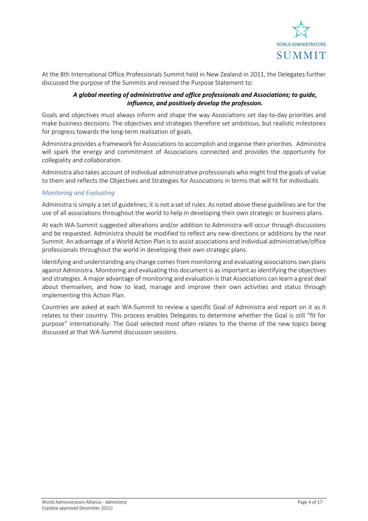

At the 8th International Office Professionals Summit held in New Zealand in 2011, the Delegates further discussed the purpose of the Summits and revised the Purpose Statement to:

#### *A global meeting of administrative and office professionals and Associations; to guide, influence, and positively develop the profession.*

Goals and objectives must always inform and shape the way Associations set day-to-day priorities and make business decisions. The objectives and strategies therefore set ambitious, but realistic milestones for progress towards the long-term realisation of goals.

Administra provides a framework for Associations to accomplish and organise their priorities. Administra will spark the energy and commitment of Associations connected and provides the opportunity for collegiality and collaboration.

Administra also takes account of individual administrative professionals who might find the goals of value to them and reflects the Objectives and Strategies for Associations in terms that will fit for individuals.

#### <span id="page-3-0"></span>*Monitoring and Evaluating*

Administra is simply a set of guidelines; it is not a set of rules. As noted above these guidelines are for the use of all associations throughout the world to help in developing their own strategic or business plans.

At each WA-Summit suggested alterations and/or addition to Administra will occur through discussions and be requested. Administra should be modified to reflect any new directions or additions by the next Summit. An advantage of a World Action Plan is to assist associations and individual administrative/office professionals throughout the world in developing their own strategic plans.

Identifying and understanding any change comes from monitoring and evaluating associations own plans against Administra. Monitoring and evaluating this document is as important as identifying the objectives and strategies. A major advantage of monitoring and evaluation is that Associations can learn a great deal about themselves, and how to lead, manage and improve their own activities and status through implementing this Action Plan.

Countries are asked at each WA-Summit to review a specific Goal of Administra and report on it as it relates to their country. This process enables Delegates to determine whether the Goal is still "fit for purpose" internationally. The Goal selected most often relates to the theme of the new topics being discussed at that WA-Summit discussion sessions.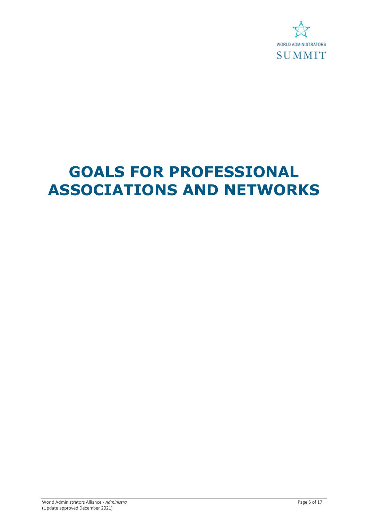

# <span id="page-4-0"></span>**GOALS FOR PROFESSIONAL ASSOCIATIONS AND NETWORKS**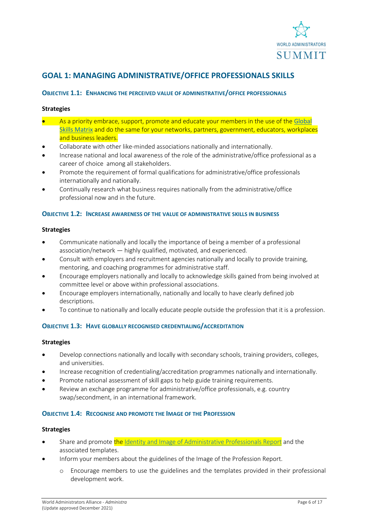

# <span id="page-5-0"></span>**GOAL 1: MANAGING ADMINISTRATIVE/OFFICE PROFESSIONALS SKILLS**

#### **OBJECTIVE 1.1: ENHANCING THE PERCEIVED VALUE OF ADMINISTRATIVE/OFFICE PROFESSIONALS**

#### **Strategies**

- As a priority embrace, support, promote and educate your members in the use of the [Global](http://www.globalskillsmatrix.com/)  [Skills Matrix](http://www.globalskillsmatrix.com/) and do the same for your networks, partners, government, educators, workplaces and business leaders.
- Collaborate with other like-minded associations nationally and internationally.
- Increase national and local awareness of the role of the administrative/office professional as a career of choice among all stakeholders.
- Promote the requirement of formal qualifications for administrative/office professionals internationally and nationally.
- Continually research what business requires nationally from the administrative/office professional now and in the future.

#### **OBJECTIVE 1.2: INCREASE AWARENESS OF THE VALUE OF ADMINISTRATIVE SKILLS IN BUSINESS**

#### **Strategies**

- Communicate nationally and locally the importance of being a member of a professional association/network — highly qualified, motivated, and experienced.
- Consult with employers and recruitment agencies nationally and locally to provide training, mentoring, and coaching programmes for administrative staff.
- Encourage employers nationally and locally to acknowledge skills gained from being involved at committee level or above within professional associations.
- Encourage employers internationally, nationally and locally to have clearly defined job descriptions.
- To continue to nationally and locally educate people outside the profession that it is a profession.

#### **OBJECTIVE 1.3: HAVE GLOBALLY RECOGNISED CREDENTIALING/ACCREDITATION**

#### **Strategies**

- Develop connections nationally and locally with secondary schools, training providers, colleges, and universities.
- Increase recognition of credentialing/accreditation programmes nationally and internationally.
- Promote national assessment of skill gaps to help guide training requirements.
- Review an exchange programme for administrative/office professionals, e.g. country swap/secondment, in an international framework.

#### **OBJECTIVE 1.4: RECOGNISE AND PROMOTE THE IMAGE OF THE PROFESSION**

- Share and promote the [Identity and Image of Administrative Professionals Report](https://wa-summit.com/wp-content/uploads/2020/07/Image-of-the-Profession-Paper.pdf) and the associated templates.
- Inform your members about the guidelines of the Image of the Profession Report.
	- o Encourage members to use the guidelines and the templates provided in their professional development work.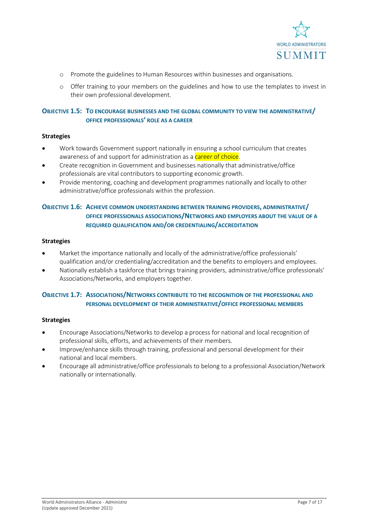

- o Promote the guidelines to Human Resources within businesses and organisations.
- o Offer training to your members on the guidelines and how to use the templates to invest in their own professional development.

#### **OBJECTIVE 1.5: TO ENCOURAGE BUSINESSES AND THE GLOBAL COMMUNITY TO VIEW THE ADMINISTRATIVE/ OFFICE PROFESSIONALS' ROLE AS A CAREER**

#### **Strategies**

- Work towards Government support nationally in ensuring a school curriculum that creates awareness of and support for administration as a career of choice.
- Create recognition in Government and businesses nationally that administrative/office professionals are vital contributors to supporting economic growth.
- Provide mentoring, coaching and development programmes nationally and locally to other administrative/office professionals within the profession.

#### **OBJECTIVE 1.6: ACHIEVE COMMON UNDERSTANDING BETWEEN TRAINING PROVIDERS, ADMINISTRATIVE/ OFFICE PROFESSIONALS ASSOCIATIONS/NETWORKS AND EMPLOYERS ABOUT THE VALUE OF A REQUIRED QUALIFICATION AND/OR CREDENTIALING/ACCREDITATION**

#### **Strategies**

- Market the importance nationally and locally of the administrative/office professionals' qualification and/or credentialing/accreditation and the benefits to employers and employees.
- Nationally establish a taskforce that brings training providers, administrative/office professionals' Associations/Networks, and employers together.

#### **OBJECTIVE 1.7: ASSOCIATIONS/NETWORKS CONTRIBUTE TO THE RECOGNITION OF THE PROFESSIONAL AND PERSONAL DEVELOPMENT OF THEIR ADMINISTRATIVE/OFFICE PROFESSIONAL MEMBERS**

- Encourage Associations/Networks to develop a process for national and local recognition of professional skills, efforts, and achievements of their members.
- Improve/enhance skills through training, professional and personal development for their national and local members.
- Encourage all administrative/office professionals to belong to a professional Association/Network nationally or internationally.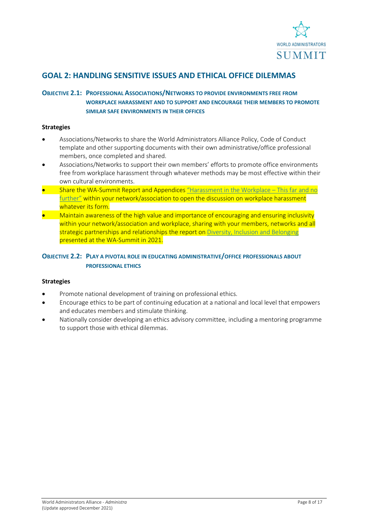

## <span id="page-7-0"></span>**GOAL 2: HANDLING SENSITIVE ISSUES AND ETHICAL OFFICE DILEMMAS**

#### **OBJECTIVE 2.1: PROFESSIONAL ASSOCIATIONS/NETWORKS TO PROVIDE ENVIRONMENTS FREE FROM WORKPLACE HARASSMENT AND TO SUPPORT AND ENCOURAGE THEIR MEMBERS TO PROMOTE SIMILAR SAFE ENVIRONMENTS IN THEIR OFFICES**

#### **Strategies**

- Associations/Networks to share the World Administrators Alliance Policy, Code of Conduct template and other supporting documents with their own administrative/office professional members, once completed and shared.
- Associations/Networks to support their own members' efforts to promote office environments free from workplace harassment through whatever methods may be most effective within their own cultural environments.
- Share the WA-Summit Report and Appendice[s "Harassment in the Workplace –](https://wa-summit.com/wp-content/uploads/2021/04/Harassment-in-the-Workplace-2020-FINAL.pdf) This far and no [further"](https://wa-summit.com/wp-content/uploads/2021/04/Harassment-in-the-Workplace-2020-FINAL.pdf) within your network/association to open the discussion on workplace harassment whatever its form.
- Maintain awareness of the high value and importance of encouraging and ensuring inclusivity within your network/association and workplace, sharing with your members, networks and all strategic partnerships and relationships the report on [Diversity, Inclusion and Belonging](https://wa-summit.com/wp-content/uploads/2021/05/Report-Diversity-Inclusion-Belonging_20210503.pdf) presented at the WA-Summit in 2021.

#### **OBJECTIVE 2.2: PLAY A PIVOTAL ROLE IN EDUCATING ADMINISTRATIVE/OFFICE PROFESSIONALS ABOUT PROFESSIONAL ETHICS**

- Promote national development of training on professional ethics.
- Encourage ethics to be part of continuing education at a national and local level that empowers and educates members and stimulate thinking.
- Nationally consider developing an ethics advisory committee, including a mentoring programme to support those with ethical dilemmas.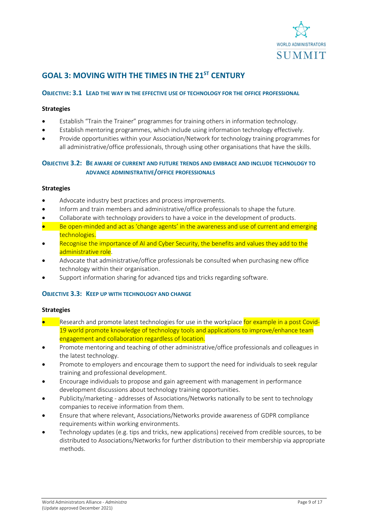

# <span id="page-8-0"></span>**GOAL 3: MOVING WITH THE TIMES IN THE 21ST CENTURY**

#### **OBJECTIVE: 3.1 LEAD THE WAY IN THE EFFECTIVE USE OF TECHNOLOGY FOR THE OFFICE PROFESSIONAL**

#### **Strategies**

- Establish "Train the Trainer" programmes for training others in information technology.
- Establish mentoring programmes, which include using information technology effectively.
- Provide opportunities within your Association/Network for technology training programmes for all administrative/office professionals, through using other organisations that have the skills.

#### **OBJECTIVE 3.2: BE AWARE OF CURRENT AND FUTURE TRENDS AND EMBRACE AND INCLUDE TECHNOLOGY TO ADVANCE ADMINISTRATIVE/OFFICE PROFESSIONALS**

#### **Strategies**

- Advocate industry best practices and process improvements.
- Inform and train members and administrative/office professionals to shape the future.
- Collaborate with technology providers to have a voice in the development of products.
- Be open-minded and act as 'change agents' in the awareness and use of current and emerging technologies.
- Recognise the importance of AI and Cyber Security, the benefits and values they add to the administrative role.
- Advocate that administrative/office professionals be consulted when purchasing new office technology within their organisation.
- Support information sharing for advanced tips and tricks regarding software.

#### **OBJECTIVE 3.3: KEEP UP WITH TECHNOLOGY AND CHANGE**

- Research and promote latest technologies for use in the workplace for example in a post Covid-19 world promote knowledge of technology tools and applications to improve/enhance team engagement and collaboration regardless of location.
- Promote mentoring and teaching of other administrative/office professionals and colleagues in the latest technology.
- Promote to employers and encourage them to support the need for individuals to seek regular training and professional development.
- Encourage individuals to propose and gain agreement with management in performance development discussions about technology training opportunities.
- Publicity/marketing addresses of Associations/Networks nationally to be sent to technology companies to receive information from them.
- Ensure that where relevant, Associations/Networks provide awareness of GDPR compliance requirements within working environments.
- Technology updates (e.g. tips and tricks, new applications) received from credible sources, to be distributed to Associations/Networks for further distribution to their membership via appropriate methods.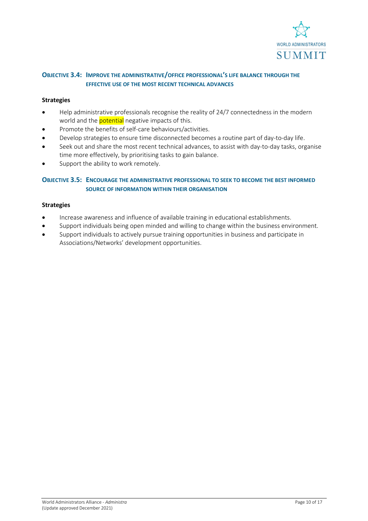

#### **OBJECTIVE 3.4: IMPROVE THE ADMINISTRATIVE/OFFICE PROFESSIONAL'S LIFE BALANCE THROUGH THE EFFECTIVE USE OF THE MOST RECENT TECHNICAL ADVANCES**

#### **Strategies**

- Help administrative professionals recognise the reality of 24/7 connectedness in the modern world and the **potential** negative impacts of this.
- Promote the benefits of self-care behaviours/activities.
- Develop strategies to ensure time disconnected becomes a routine part of day-to-day life.
- Seek out and share the most recent technical advances, to assist with day-to-day tasks, organise time more effectively, by prioritising tasks to gain balance.
- Support the ability to work remotely.

#### **OBJECTIVE 3.5: ENCOURAGE THE ADMINISTRATIVE PROFESSIONAL TO SEEK TO BECOME THE BEST INFORMED SOURCE OF INFORMATION WITHIN THEIR ORGANISATION**

- Increase awareness and influence of available training in educational establishments.
- Support individuals being open minded and willing to change within the business environment.
- Support individuals to actively pursue training opportunities in business and participate in Associations/Networks' development opportunities.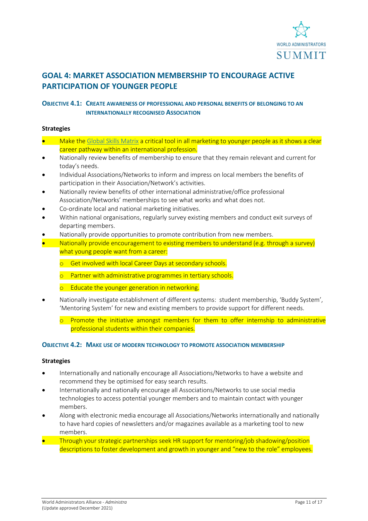

# <span id="page-10-0"></span>**GOAL 4: MARKET ASSOCIATION MEMBERSHIP TO ENCOURAGE ACTIVE PARTICIPATION OF YOUNGER PEOPLE**

#### **OBJECTIVE 4.1: CREATE AWARENESS OF PROFESSIONAL AND PERSONAL BENEFITS OF BELONGING TO AN INTERNATIONALLY RECOGNISED ASSOCIATION**

#### **Strategies**

- Make the [Global Skills Matrix](http://www.globalskillsmatrix.com/) a critical tool in all marketing to younger people as it shows a clear career pathway within an international profession.
- Nationally review benefits of membership to ensure that they remain relevant and current for today's needs.
- Individual Associations/Networks to inform and impress on local members the benefits of participation in their Association/Network's activities.
- Nationally review benefits of other international administrative/office professional Association/Networks' memberships to see what works and what does not.
- Co-ordinate local and national marketing initiatives.
- Within national organisations, regularly survey existing members and conduct exit surveys of departing members.
- Nationally provide opportunities to promote contribution from new members.
- Nationally provide encouragement to existing members to understand (e.g. through a survey) what young people want from a career:
	- o Get involved with local Career Days at secondary schools.
	- o Partner with administrative programmes in tertiary schools.
	- o Educate the younger generation in networking.
- Nationally investigate establishment of different systems: student membership, 'Buddy System', 'Mentoring System' for new and existing members to provide support for different needs.
	- o Promote the initiative amongst members for them to offer internship to administrative professional students within their companies.

#### **OBJECTIVE 4.2: MAKE USE OF MODERN TECHNOLOGY TO PROMOTE ASSOCIATION MEMBERSHIP**

- Internationally and nationally encourage all Associations/Networks to have a website and recommend they be optimised for easy search results.
- Internationally and nationally encourage all Associations/Networks to use social media technologies to access potential younger members and to maintain contact with younger members.
- Along with electronic media encourage all Associations/Networks internationally and nationally to have hard copies of newsletters and/or magazines available as a marketing tool to new members.
- Through your strategic partnerships seek HR support for mentoring/job shadowing/position descriptions to foster development and growth in younger and "new to the role" employees.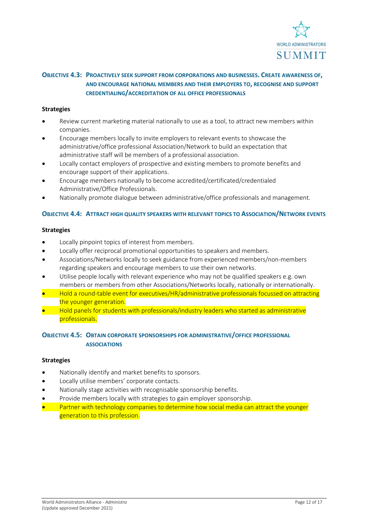

#### **OBJECTIVE 4.3: PROACTIVELY SEEK SUPPORT FROM CORPORATIONS AND BUSINESSES. CREATE AWARENESS OF, AND ENCOURAGE NATIONAL MEMBERS AND THEIR EMPLOYERS TO, RECOGNISE AND SUPPORT CREDENTIALING/ACCREDITATION OF ALL OFFICE PROFESSIONALS**

#### **Strategies**

- Review current marketing material nationally to use as a tool, to attract new members within companies.
- Encourage members locally to invite employers to relevant events to showcase the administrative/office professional Association/Network to build an expectation that administrative staff will be members of a professional association.
- Locally contact employers of prospective and existing members to promote benefits and encourage support of their applications.
- Encourage members nationally to become accredited/certificated/credentialed Administrative/Office Professionals.
- Nationally promote dialogue between administrative/office professionals and management.

#### **OBJECTIVE 4.4: ATTRACT HIGH QUALITY SPEAKERS WITH RELEVANT TOPICS TO ASSOCIATION/NETWORK EVENTS**

#### **Strategies**

- Locally pinpoint topics of interest from members.
- Locally offer reciprocal promotional opportunities to speakers and members.
- Associations/Networks locally to seek guidance from experienced members/non-members regarding speakers and encourage members to use their own networks.
- Utilise people locally with relevant experience who may not be qualified speakers e.g. own members or members from other Associations/Networks locally, nationally or internationally.
- Hold a round-table event for executives/HR/administrative professionals focussed on attracting the younger generation.
- Hold panels for students with professionals/industry leaders who started as administrative professionals.

#### **OBJECTIVE 4.5: OBTAIN CORPORATE SPONSORSHIPS FOR ADMINISTRATIVE/OFFICE PROFESSIONAL ASSOCIATIONS**

- Nationally identify and market benefits to sponsors.
- Locally utilise members' corporate contacts.
- Nationally stage activities with recognisable sponsorship benefits.
- Provide members locally with strategies to gain employer sponsorship.
- Partner with technology companies to determine how social media can attract the younger generation to this profession.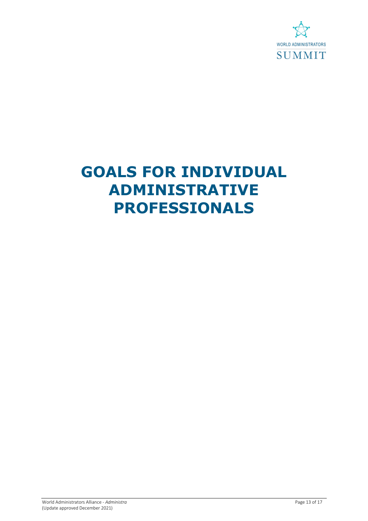

# <span id="page-12-0"></span>**GOALS FOR INDIVIDUAL ADMINISTRATIVE PROFESSIONALS**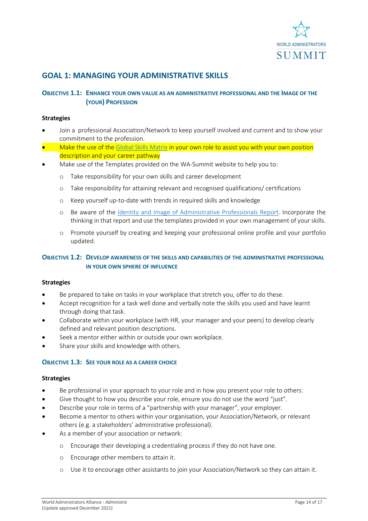

### <span id="page-13-0"></span>**GOAL 1: MANAGING YOUR ADMINISTRATIVE SKILLS**

#### **OBJECTIVE 1.1: ENHANCE YOUR OWN VALUE AS AN ADMINISTRATIVE PROFESSIONAL AND THE IMAGE OF THE (YOUR) PROFESSION**

#### **Strategies**

- Join a professional Association/Network to keep yourself involved and current and to show your commitment to the profession.
- Make the use of th[e Global Skills Matrix](http://www.globalskillsmatrix.com/) in your own role to assist you with your own position description and your career pathway
- Make use of the Templates provided on the WA-Summit website to help you to:
	- o Take responsibility for your own skills and career development
	- o Take responsibility for attaining relevant and recognised qualifications/ certifications
	- o Keep yourself up-to-date with trends in required skills and knowledge
	- o Be aware of the [Identity and Image of Administrative Professionals Report.](https://wa-summit.com/wp-content/uploads/2020/07/Image-of-the-Profession-Paper.pdf) Incorporate the thinking in that report and use the templates provided in your own management of your skills.
	- o Promote yourself by creating and keeping your professional online profile and your portfolio updated.

#### **OBJECTIVE 1.2: DEVELOP AWARENESS OF THE SKILLS AND CAPABILITIES OF THE ADMINISTRATIVE PROFESSIONAL IN YOUR OWN SPHERE OF INFLUENCE**

#### **Strategies**

- Be prepared to take on tasks in your workplace that stretch you, offer to do these.
- Accept recognition for a task well done and verbally note the skills you used and have learnt through doing that task.
- Collaborate within your workplace (with HR, your manager and your peers) to develop clearly defined and relevant position descriptions.
- Seek a mentor either within or outside your own workplace.
- Share your skills and knowledge with others.

#### **OBJECTIVE 1.3: SEE YOUR ROLE AS A CAREER CHOICE**

- Be professional in your approach to your role and in how you present your role to others:
- Give thought to how you describe your role, ensure you do not use the word "just".
- Describe your role in terms of a "partnership with your manager", your employer.
- Become a mentor to others within your organisation, your Association/Network, or relevant others (e.g. a stakeholders' administrative professional).
- As a member of your association or network:
	- o Encourage their developing a credentialing process if they do not have one.
	- o Encourage other members to attain it.
	- o Use it to encourage other assistants to join your Association/Network so they can attain it.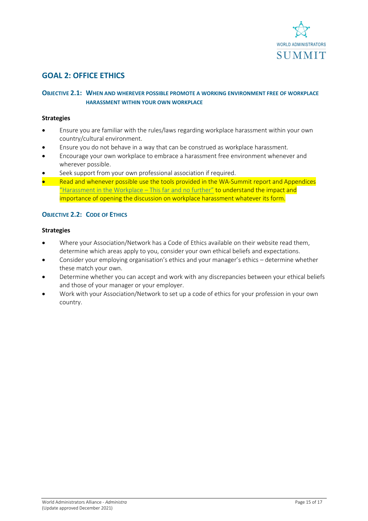

# <span id="page-14-0"></span>**GOAL 2: OFFICE ETHICS**

#### **OBJECTIVE 2.1: WHEN AND WHEREVER POSSIBLE PROMOTE A WORKING ENVIRONMENT FREE OF WORKPLACE HARASSMENT WITHIN YOUR OWN WORKPLACE**

#### **Strategies**

- Ensure you are familiar with the rules/laws regarding workplace harassment within your own country/cultural environment.
- Ensure you do not behave in a way that can be construed as workplace harassment.
- Encourage your own workplace to embrace a harassment free environment whenever and wherever possible.
- Seek support from your own professional association if required.
- Read and whenever possible use the tools provided in the WA-Summit report and Appendices ["Harassment in the Workplace –](https://wa-summit.com/wp-content/uploads/2021/04/Harassment-in-the-Workplace-2020-FINAL.pdf) This far and no further" to understand the impact and importance of opening the discussion on workplace harassment whatever its form.

#### **OBJECTIVE 2.2: CODE OF ETHICS**

- Where your Association/Network has a Code of Ethics available on their website read them, determine which areas apply to you, consider your own ethical beliefs and expectations.
- Consider your employing organisation's ethics and your manager's ethics determine whether these match your own.
- Determine whether you can accept and work with any discrepancies between your ethical beliefs and those of your manager or your employer.
- Work with your Association/Network to set up a code of ethics for your profession in your own country.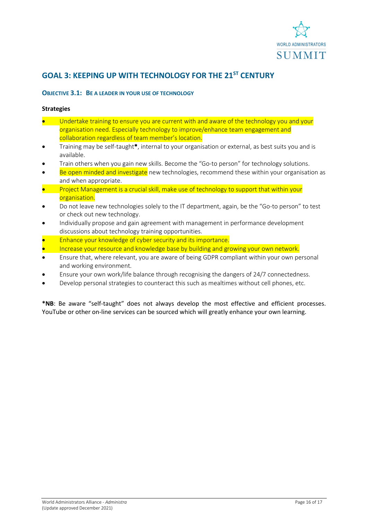

# <span id="page-15-0"></span>**GOAL 3: KEEPING UP WITH TECHNOLOGY FOR THE 21ST CENTURY**

#### **OBJECTIVE 3.1: BE A LEADER IN YOUR USE OF TECHNOLOGY**

#### **Strategies**

- Undertake training to ensure you are current with and aware of the technology you and your organisation need. Especially technology to improve/enhance team engagement and collaboration regardless of team member's location.
- Training may be self-taught\*, internal to your organisation or external, as best suits you and is available.
- Train others when you gain new skills. Become the "Go-to person" for technology solutions.
- Be open minded and investigate new technologies, recommend these within your organisation as and when appropriate.
- Project Management is a crucial skill, make use of technology to support that within your organisation.
- Do not leave new technologies solely to the IT department, again, be the "Go-to person" to test or check out new technology.
- Individually propose and gain agreement with management in performance development discussions about technology training opportunities.
- Enhance your knowledge of cyber security and its importance.
- Increase your resource and knowledge base by building and growing your own network.
- Ensure that, where relevant, you are aware of being GDPR compliant within your own personal and working environment.
- Ensure your own work/life balance through recognising the dangers of 24/7 connectedness.
- Develop personal strategies to counteract this such as mealtimes without cell phones, etc.

**\*NB**: Be aware "self-taught" does not always develop the most effective and efficient processes. YouTube or other on-line services can be sourced which will greatly enhance your own learning.